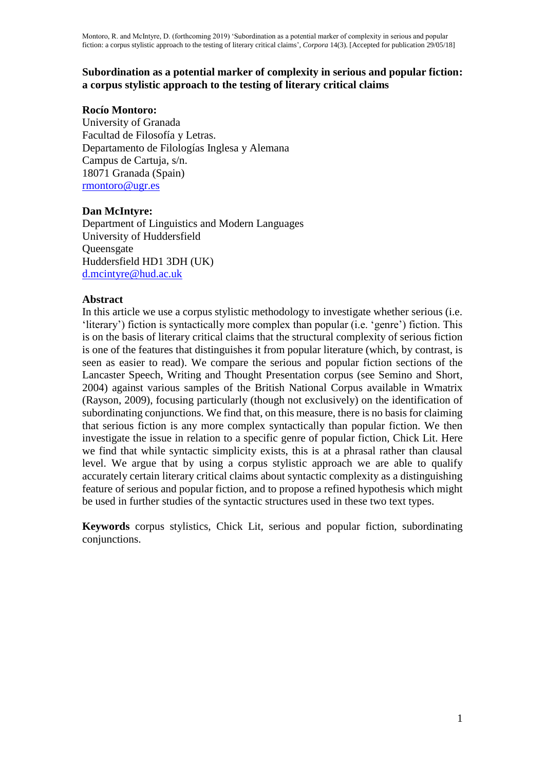## **Subordination as a potential marker of complexity in serious and popular fiction: a corpus stylistic approach to the testing of literary critical claims**

### **Rocío Montoro:**

University of Granada Facultad de Filosofía y Letras. Departamento de Filologías Inglesa y Alemana Campus de Cartuja, s/n. 18071 Granada (Spain) rmontoro@ugr.es

## **Dan McIntyre:**

Department of Linguistics and Modern Languages University of Huddersfield **Queensgate** Huddersfield HD1 3DH (UK) d.mcintyre@hud.ac.uk

### **Abstract**

In this article we use a corpus stylistic methodology to investigate whether serious (i.e. 'literary') fiction is syntactically more complex than popular (i.e. 'genre') fiction. This is on the basis of literary critical claims that the structural complexity of serious fiction is one of the features that distinguishes it from popular literature (which, by contrast, is seen as easier to read). We compare the serious and popular fiction sections of the Lancaster Speech, Writing and Thought Presentation corpus (see Semino and Short, 2004) against various samples of the British National Corpus available in Wmatrix (Rayson, 2009), focusing particularly (though not exclusively) on the identification of subordinating conjunctions. We find that, on this measure, there is no basis for claiming that serious fiction is any more complex syntactically than popular fiction. We then investigate the issue in relation to a specific genre of popular fiction, Chick Lit. Here we find that while syntactic simplicity exists, this is at a phrasal rather than clausal level. We argue that by using a corpus stylistic approach we are able to qualify accurately certain literary critical claims about syntactic complexity as a distinguishing feature of serious and popular fiction, and to propose a refined hypothesis which might be used in further studies of the syntactic structures used in these two text types.

**Keywords** corpus stylistics, Chick Lit, serious and popular fiction, subordinating conjunctions.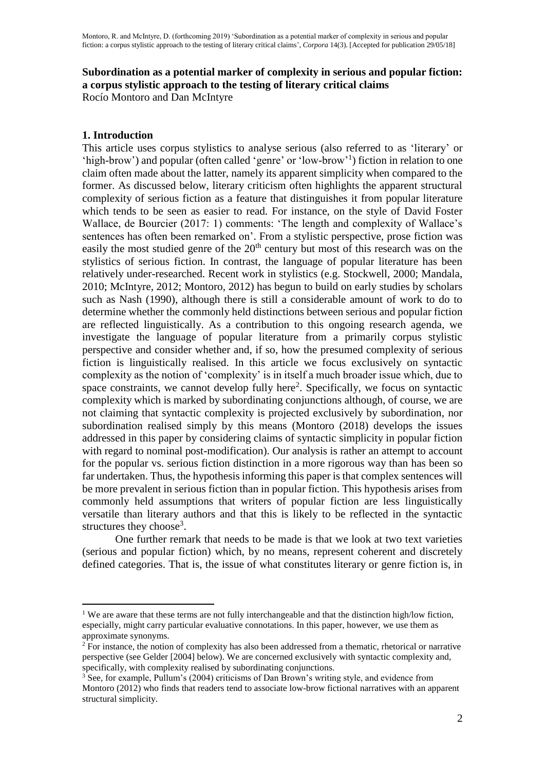### **Subordination as a potential marker of complexity in serious and popular fiction: a corpus stylistic approach to the testing of literary critical claims** Rocío Montoro and Dan McIntyre

## **1. Introduction**

 $\overline{a}$ 

This article uses corpus stylistics to analyse serious (also referred to as 'literary' or 'high-brow') and popular (often called 'genre' or 'low-brow'<sup>1</sup> ) fiction in relation to one claim often made about the latter, namely its apparent simplicity when compared to the former. As discussed below, literary criticism often highlights the apparent structural complexity of serious fiction as a feature that distinguishes it from popular literature which tends to be seen as easier to read. For instance, on the style of David Foster Wallace, de Bourcier (2017: 1) comments: 'The length and complexity of Wallace's sentences has often been remarked on'. From a stylistic perspective, prose fiction was easily the most studied genre of the 20<sup>th</sup> century but most of this research was on the stylistics of serious fiction. In contrast, the language of popular literature has been relatively under-researched. Recent work in stylistics (e.g. Stockwell, 2000; Mandala, 2010; McIntyre, 2012; Montoro, 2012) has begun to build on early studies by scholars such as Nash (1990), although there is still a considerable amount of work to do to determine whether the commonly held distinctions between serious and popular fiction are reflected linguistically. As a contribution to this ongoing research agenda, we investigate the language of popular literature from a primarily corpus stylistic perspective and consider whether and, if so, how the presumed complexity of serious fiction is linguistically realised. In this article we focus exclusively on syntactic complexity as the notion of 'complexity' is in itself a much broader issue which, due to space constraints, we cannot develop fully here<sup>2</sup>. Specifically, we focus on syntactic complexity which is marked by subordinating conjunctions although, of course, we are not claiming that syntactic complexity is projected exclusively by subordination, nor subordination realised simply by this means (Montoro (2018) develops the issues addressed in this paper by considering claims of syntactic simplicity in popular fiction with regard to nominal post-modification). Our analysis is rather an attempt to account for the popular vs. serious fiction distinction in a more rigorous way than has been so far undertaken. Thus, the hypothesis informing this paper is that complex sentences will be more prevalent in serious fiction than in popular fiction. This hypothesis arises from commonly held assumptions that writers of popular fiction are less linguistically versatile than literary authors and that this is likely to be reflected in the syntactic structures they choose<sup>3</sup>.

One further remark that needs to be made is that we look at two text varieties (serious and popular fiction) which, by no means, represent coherent and discretely defined categories. That is, the issue of what constitutes literary or genre fiction is, in

<sup>&</sup>lt;sup>1</sup> We are aware that these terms are not fully interchangeable and that the distinction high/low fiction, especially, might carry particular evaluative connotations. In this paper, however, we use them as approximate synonyms.

<sup>&</sup>lt;sup>2</sup> For instance, the notion of complexity has also been addressed from a thematic, rhetorical or narrative perspective (see Gelder [2004] below). We are concerned exclusively with syntactic complexity and, specifically, with complexity realised by subordinating conjunctions.

 $3$  See, for example, Pullum's (2004) criticisms of Dan Brown's writing style, and evidence from Montoro (2012) who finds that readers tend to associate low-brow fictional narratives with an apparent structural simplicity.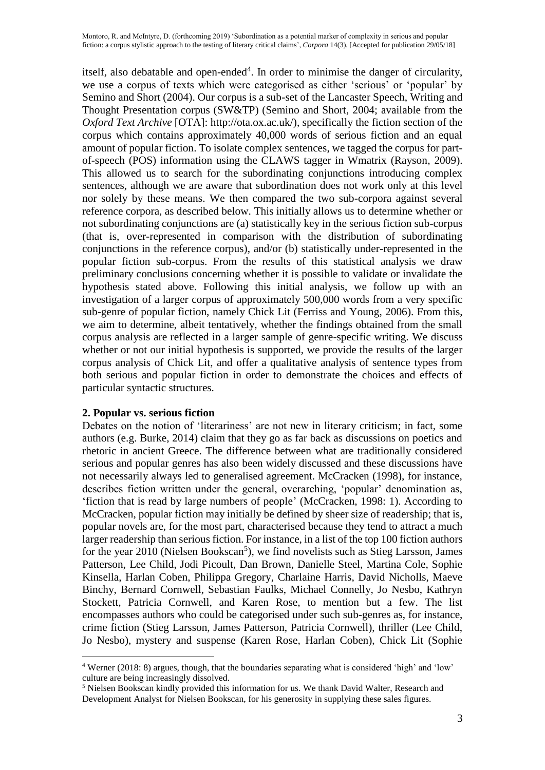itself, also debatable and open-ended<sup>4</sup>. In order to minimise the danger of circularity, we use a corpus of texts which were categorised as either 'serious' or 'popular' by Semino and Short (2004). Our corpus is a sub-set of the Lancaster Speech, Writing and Thought Presentation corpus (SW&TP) (Semino and Short, 2004; available from the *Oxford Text Archive* [OTA]: http://ota.ox.ac.uk/), specifically the fiction section of the corpus which contains approximately 40,000 words of serious fiction and an equal amount of popular fiction. To isolate complex sentences, we tagged the corpus for partof-speech (POS) information using the CLAWS tagger in Wmatrix (Rayson, 2009). This allowed us to search for the subordinating conjunctions introducing complex sentences, although we are aware that subordination does not work only at this level nor solely by these means. We then compared the two sub-corpora against several reference corpora, as described below. This initially allows us to determine whether or not subordinating conjunctions are (a) statistically key in the serious fiction sub-corpus (that is, over-represented in comparison with the distribution of subordinating conjunctions in the reference corpus), and/or (b) statistically under-represented in the popular fiction sub-corpus. From the results of this statistical analysis we draw preliminary conclusions concerning whether it is possible to validate or invalidate the hypothesis stated above. Following this initial analysis, we follow up with an investigation of a larger corpus of approximately 500,000 words from a very specific sub-genre of popular fiction, namely Chick Lit (Ferriss and Young, 2006). From this, we aim to determine, albeit tentatively, whether the findings obtained from the small corpus analysis are reflected in a larger sample of genre-specific writing. We discuss whether or not our initial hypothesis is supported, we provide the results of the larger corpus analysis of Chick Lit, and offer a qualitative analysis of sentence types from both serious and popular fiction in order to demonstrate the choices and effects of particular syntactic structures.

# **2. Popular vs. serious fiction**

 $\overline{a}$ 

Debates on the notion of 'literariness' are not new in literary criticism; in fact, some authors (e.g. Burke, 2014) claim that they go as far back as discussions on poetics and rhetoric in ancient Greece. The difference between what are traditionally considered serious and popular genres has also been widely discussed and these discussions have not necessarily always led to generalised agreement. McCracken (1998), for instance, describes fiction written under the general, overarching, 'popular' denomination as, 'fiction that is read by large numbers of people' (McCracken, 1998: 1). According to McCracken, popular fiction may initially be defined by sheer size of readership; that is, popular novels are, for the most part, characterised because they tend to attract a much larger readership than serious fiction. For instance, in a list of the top 100 fiction authors for the year 2010 (Nielsen Bookscan<sup>5</sup>), we find novelists such as Stieg Larsson, James Patterson, Lee Child, Jodi Picoult, Dan Brown, Danielle Steel, Martina Cole, Sophie Kinsella, Harlan Coben, Philippa Gregory, Charlaine Harris, David Nicholls, Maeve Binchy, Bernard Cornwell, Sebastian Faulks, Michael Connelly, Jo Nesbo, Kathryn Stockett, Patricia Cornwell, and Karen Rose, to mention but a few. The list encompasses authors who could be categorised under such sub-genres as, for instance, crime fiction (Stieg Larsson, James Patterson, Patricia Cornwell), thriller (Lee Child, Jo Nesbo), mystery and suspense (Karen Rose, Harlan Coben), Chick Lit (Sophie

<sup>4</sup> Werner (2018: 8) argues, though, that the boundaries separating what is considered 'high' and 'low' culture are being increasingly dissolved.

<sup>5</sup> Nielsen Bookscan kindly provided this information for us. We thank David Walter, Research and Development Analyst for Nielsen Bookscan, for his generosity in supplying these sales figures.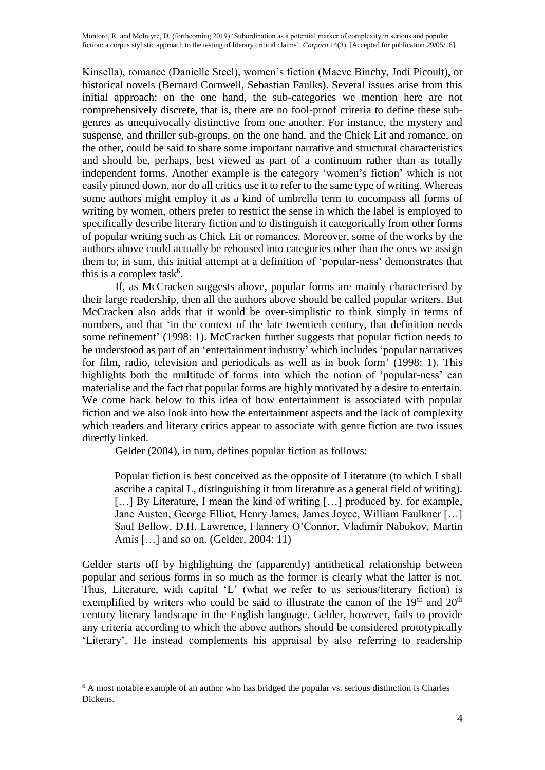Kinsella), romance (Danielle Steel), women's fiction (Maeve Binchy, Jodi Picoult), or historical novels (Bernard Cornwell, Sebastian Faulks). Several issues arise from this initial approach: on the one hand, the sub-categories we mention here are not comprehensively discrete, that is, there are no fool-proof criteria to define these subgenres as unequivocally distinctive from one another. For instance, the mystery and suspense, and thriller sub-groups, on the one hand, and the Chick Lit and romance, on the other, could be said to share some important narrative and structural characteristics and should be, perhaps, best viewed as part of a continuum rather than as totally independent forms. Another example is the category 'women's fiction' which is not easily pinned down, nor do all critics use it to refer to the same type of writing. Whereas some authors might employ it as a kind of umbrella term to encompass all forms of writing by women, others prefer to restrict the sense in which the label is employed to specifically describe literary fiction and to distinguish it categorically from other forms of popular writing such as Chick Lit or romances. Moreover, some of the works by the authors above could actually be rehoused into categories other than the ones we assign them to; in sum, this initial attempt at a definition of 'popular-ness' demonstrates that this is a complex task<sup>6</sup>.

If, as McCracken suggests above, popular forms are mainly characterised by their large readership, then all the authors above should be called popular writers. But McCracken also adds that it would be over-simplistic to think simply in terms of numbers, and that 'in the context of the late twentieth century, that definition needs some refinement' (1998: 1). McCracken further suggests that popular fiction needs to be understood as part of an 'entertainment industry' which includes 'popular narratives for film, radio, television and periodicals as well as in book form' (1998: 1). This highlights both the multitude of forms into which the notion of 'popular-ness' can materialise and the fact that popular forms are highly motivated by a desire to entertain. We come back below to this idea of how entertainment is associated with popular fiction and we also look into how the entertainment aspects and the lack of complexity which readers and literary critics appear to associate with genre fiction are two issues directly linked.

Gelder (2004), in turn, defines popular fiction as follows:

Popular fiction is best conceived as the opposite of Literature (to which I shall ascribe a capital L, distinguishing it from literature as a general field of writing). [...] By Literature, I mean the kind of writing [...] produced by, for example, Jane Austen, George Elliot, Henry James, James Joyce, William Faulkner […] Saul Bellow, D.H. Lawrence, Flannery O'Connor, Vladimir Nabokov, Martin Amis […] and so on. (Gelder, 2004: 11)

Gelder starts off by highlighting the (apparently) antithetical relationship between popular and serious forms in so much as the former is clearly what the latter is not. Thus, Literature, with capital 'L' (what we refer to as serious/literary fiction) is exemplified by writers who could be said to illustrate the canon of the  $19<sup>th</sup>$  and  $20<sup>th</sup>$ century literary landscape in the English language. Gelder, however, fails to provide any criteria according to which the above authors should be considered prototypically 'Literary'. He instead complements his appraisal by also referring to readership

 $\overline{a}$  $6$  A most notable example of an author who has bridged the popular vs. serious distinction is Charles Dickens.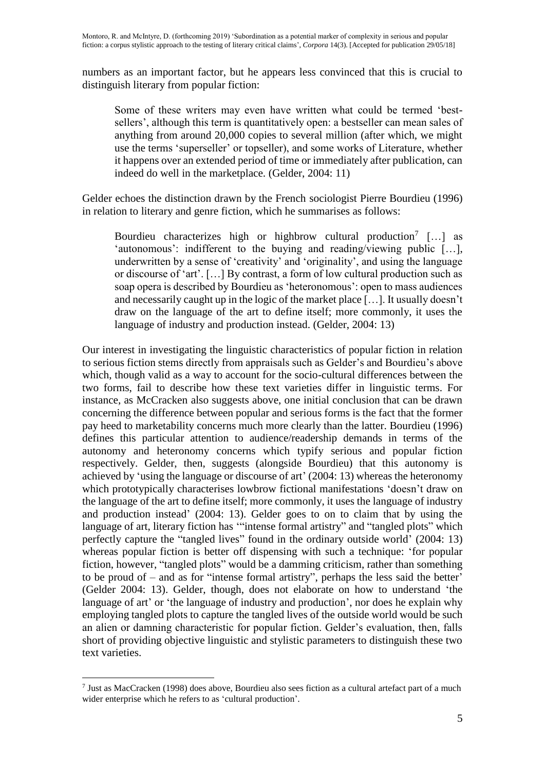numbers as an important factor, but he appears less convinced that this is crucial to distinguish literary from popular fiction:

Some of these writers may even have written what could be termed 'bestsellers', although this term is quantitatively open: a bestseller can mean sales of anything from around 20,000 copies to several million (after which, we might use the terms 'superseller' or topseller), and some works of Literature, whether it happens over an extended period of time or immediately after publication, can indeed do well in the marketplace. (Gelder, 2004: 11)

Gelder echoes the distinction drawn by the French sociologist Pierre Bourdieu (1996) in relation to literary and genre fiction, which he summarises as follows:

Bourdieu characterizes high or highbrow cultural production<sup>7</sup> [...] as 'autonomous': indifferent to the buying and reading/viewing public […], underwritten by a sense of 'creativity' and 'originality', and using the language or discourse of 'art'. […] By contrast, a form of low cultural production such as soap opera is described by Bourdieu as 'heteronomous': open to mass audiences and necessarily caught up in the logic of the market place […]. It usually doesn't draw on the language of the art to define itself; more commonly, it uses the language of industry and production instead. (Gelder, 2004: 13)

Our interest in investigating the linguistic characteristics of popular fiction in relation to serious fiction stems directly from appraisals such as Gelder's and Bourdieu's above which, though valid as a way to account for the socio-cultural differences between the two forms, fail to describe how these text varieties differ in linguistic terms. For instance, as McCracken also suggests above, one initial conclusion that can be drawn concerning the difference between popular and serious forms is the fact that the former pay heed to marketability concerns much more clearly than the latter. Bourdieu (1996) defines this particular attention to audience/readership demands in terms of the autonomy and heteronomy concerns which typify serious and popular fiction respectively. Gelder, then, suggests (alongside Bourdieu) that this autonomy is achieved by 'using the language or discourse of art' (2004: 13) whereas the heteronomy which prototypically characterises lowbrow fictional manifestations 'doesn't draw on the language of the art to define itself; more commonly, it uses the language of industry and production instead' (2004: 13). Gelder goes to on to claim that by using the language of art, literary fiction has ""intense formal artistry" and "tangled plots" which perfectly capture the "tangled lives" found in the ordinary outside world' (2004: 13) whereas popular fiction is better off dispensing with such a technique: 'for popular fiction, however, "tangled plots" would be a damming criticism, rather than something to be proud of – and as for "intense formal artistry", perhaps the less said the better' (Gelder 2004: 13). Gelder, though, does not elaborate on how to understand 'the language of art' or 'the language of industry and production', nor does he explain why employing tangled plots to capture the tangled lives of the outside world would be such an alien or damning characteristic for popular fiction. Gelder's evaluation, then, falls short of providing objective linguistic and stylistic parameters to distinguish these two text varieties.

 $\overline{a}$ 7 Just as MacCracken (1998) does above, Bourdieu also sees fiction as a cultural artefact part of a much wider enterprise which he refers to as 'cultural production'.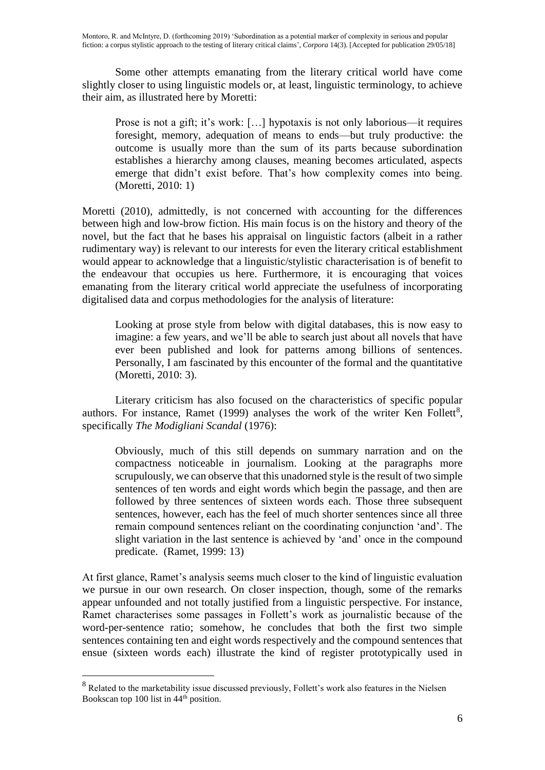Some other attempts emanating from the literary critical world have come slightly closer to using linguistic models or, at least, linguistic terminology, to achieve their aim, as illustrated here by Moretti:

Prose is not a gift; it's work: […] hypotaxis is not only laborious—it requires foresight, memory, adequation of means to ends—but truly productive: the outcome is usually more than the sum of its parts because subordination establishes a hierarchy among clauses, meaning becomes articulated, aspects emerge that didn't exist before. That's how complexity comes into being. (Moretti, 2010: 1)

Moretti (2010), admittedly, is not concerned with accounting for the differences between high and low-brow fiction. His main focus is on the history and theory of the novel, but the fact that he bases his appraisal on linguistic factors (albeit in a rather rudimentary way) is relevant to our interests for even the literary critical establishment would appear to acknowledge that a linguistic/stylistic characterisation is of benefit to the endeavour that occupies us here. Furthermore, it is encouraging that voices emanating from the literary critical world appreciate the usefulness of incorporating digitalised data and corpus methodologies for the analysis of literature:

Looking at prose style from below with digital databases, this is now easy to imagine: a few years, and we'll be able to search just about all novels that have ever been published and look for patterns among billions of sentences. Personally, I am fascinated by this encounter of the formal and the quantitative (Moretti, 2010: 3).

Literary criticism has also focused on the characteristics of specific popular authors. For instance, Ramet (1999) analyses the work of the writer Ken Follett<sup>8</sup>, specifically *The Modigliani Scandal* (1976):

Obviously, much of this still depends on summary narration and on the compactness noticeable in journalism. Looking at the paragraphs more scrupulously, we can observe that this unadorned style is the result of two simple sentences of ten words and eight words which begin the passage, and then are followed by three sentences of sixteen words each. Those three subsequent sentences, however, each has the feel of much shorter sentences since all three remain compound sentences reliant on the coordinating conjunction 'and'. The slight variation in the last sentence is achieved by 'and' once in the compound predicate. (Ramet, 1999: 13)

At first glance, Ramet's analysis seems much closer to the kind of linguistic evaluation we pursue in our own research. On closer inspection, though, some of the remarks appear unfounded and not totally justified from a linguistic perspective. For instance, Ramet characterises some passages in Follett's work as journalistic because of the word-per-sentence ratio; somehow, he concludes that both the first two simple sentences containing ten and eight words respectively and the compound sentences that ensue (sixteen words each) illustrate the kind of register prototypically used in

 $\overline{a}$ 

<sup>8</sup> Related to the marketability issue discussed previously, Follett's work also features in the Nielsen Bookscan top 100 list in  $44<sup>th</sup>$  position.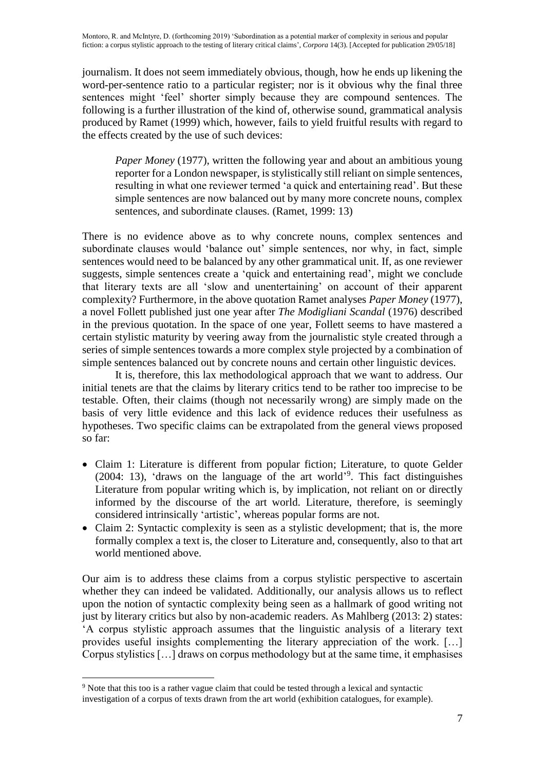journalism. It does not seem immediately obvious, though, how he ends up likening the word-per-sentence ratio to a particular register; nor is it obvious why the final three sentences might 'feel' shorter simply because they are compound sentences. The following is a further illustration of the kind of, otherwise sound, grammatical analysis produced by Ramet (1999) which, however, fails to yield fruitful results with regard to the effects created by the use of such devices:

*Paper Money* (1977), written the following year and about an ambitious young reporter for a London newspaper, is stylistically still reliant on simple sentences, resulting in what one reviewer termed 'a quick and entertaining read'. But these simple sentences are now balanced out by many more concrete nouns, complex sentences, and subordinate clauses. (Ramet, 1999: 13)

There is no evidence above as to why concrete nouns, complex sentences and subordinate clauses would 'balance out' simple sentences, nor why, in fact, simple sentences would need to be balanced by any other grammatical unit. If, as one reviewer suggests, simple sentences create a 'quick and entertaining read', might we conclude that literary texts are all 'slow and unentertaining' on account of their apparent complexity? Furthermore, in the above quotation Ramet analyses *Paper Money* (1977), a novel Follett published just one year after *The Modigliani Scandal* (1976) described in the previous quotation. In the space of one year, Follett seems to have mastered a certain stylistic maturity by veering away from the journalistic style created through a series of simple sentences towards a more complex style projected by a combination of simple sentences balanced out by concrete nouns and certain other linguistic devices.

It is, therefore, this lax methodological approach that we want to address. Our initial tenets are that the claims by literary critics tend to be rather too imprecise to be testable. Often, their claims (though not necessarily wrong) are simply made on the basis of very little evidence and this lack of evidence reduces their usefulness as hypotheses. Two specific claims can be extrapolated from the general views proposed so far:

- Claim 1: Literature is different from popular fiction; Literature, to quote Gelder (2004: 13), 'draws on the language of the art world' 9 . This fact distinguishes Literature from popular writing which is, by implication, not reliant on or directly informed by the discourse of the art world. Literature, therefore, is seemingly considered intrinsically 'artistic', whereas popular forms are not.
- Claim 2: Syntactic complexity is seen as a stylistic development; that is, the more formally complex a text is, the closer to Literature and, consequently, also to that art world mentioned above.

Our aim is to address these claims from a corpus stylistic perspective to ascertain whether they can indeed be validated. Additionally, our analysis allows us to reflect upon the notion of syntactic complexity being seen as a hallmark of good writing not just by literary critics but also by non-academic readers. As Mahlberg (2013: 2) states: 'A corpus stylistic approach assumes that the linguistic analysis of a literary text provides useful insights complementing the literary appreciation of the work. […] Corpus stylistics […] draws on corpus methodology but at the same time, it emphasises

 $\overline{a}$ <sup>9</sup> Note that this too is a rather vague claim that could be tested through a lexical and syntactic

investigation of a corpus of texts drawn from the art world (exhibition catalogues, for example).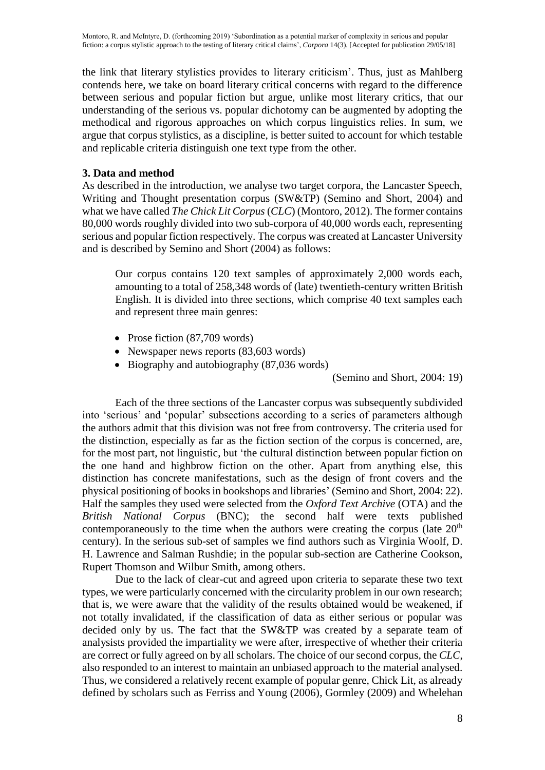the link that literary stylistics provides to literary criticism'. Thus, just as Mahlberg contends here, we take on board literary critical concerns with regard to the difference between serious and popular fiction but argue, unlike most literary critics, that our understanding of the serious vs. popular dichotomy can be augmented by adopting the methodical and rigorous approaches on which corpus linguistics relies. In sum, we argue that corpus stylistics, as a discipline, is better suited to account for which testable and replicable criteria distinguish one text type from the other.

# **3. Data and method**

As described in the introduction, we analyse two target corpora, the Lancaster Speech, Writing and Thought presentation corpus (SW&TP) (Semino and Short, 2004) and what we have called *The Chick Lit Corpus* (*CLC*) (Montoro, 2012). The former contains 80,000 words roughly divided into two sub-corpora of 40,000 words each, representing serious and popular fiction respectively. The corpus was created at Lancaster University and is described by Semino and Short (2004) as follows:

Our corpus contains 120 text samples of approximately 2,000 words each, amounting to a total of 258,348 words of (late) twentieth-century written British English. It is divided into three sections, which comprise 40 text samples each and represent three main genres:

- Prose fiction  $(87.709 \text{ words})$
- Newspaper news reports (83,603 words)
- Biography and autobiography (87,036 words)

(Semino and Short, 2004: 19)

Each of the three sections of the Lancaster corpus was subsequently subdivided into 'serious' and 'popular' subsections according to a series of parameters although the authors admit that this division was not free from controversy. The criteria used for the distinction, especially as far as the fiction section of the corpus is concerned, are, for the most part, not linguistic, but 'the cultural distinction between popular fiction on the one hand and highbrow fiction on the other. Apart from anything else, this distinction has concrete manifestations, such as the design of front covers and the physical positioning of books in bookshops and libraries' (Semino and Short, 2004: 22). Half the samples they used were selected from the *Oxford Text Archive* (OTA) and the *British National Corpus* (BNC); the second half were texts published contemporaneously to the time when the authors were creating the corpus (late  $20<sup>th</sup>$ century). In the serious sub-set of samples we find authors such as Virginia Woolf, D. H. Lawrence and Salman Rushdie; in the popular sub-section are Catherine Cookson, Rupert Thomson and Wilbur Smith, among others.

Due to the lack of clear-cut and agreed upon criteria to separate these two text types, we were particularly concerned with the circularity problem in our own research; that is, we were aware that the validity of the results obtained would be weakened, if not totally invalidated, if the classification of data as either serious or popular was decided only by us. The fact that the SW&TP was created by a separate team of analysists provided the impartiality we were after, irrespective of whether their criteria are correct or fully agreed on by all scholars. The choice of our second corpus, the *CLC*, also responded to an interest to maintain an unbiased approach to the material analysed. Thus, we considered a relatively recent example of popular genre, Chick Lit, as already defined by scholars such as Ferriss and Young (2006), Gormley (2009) and Whelehan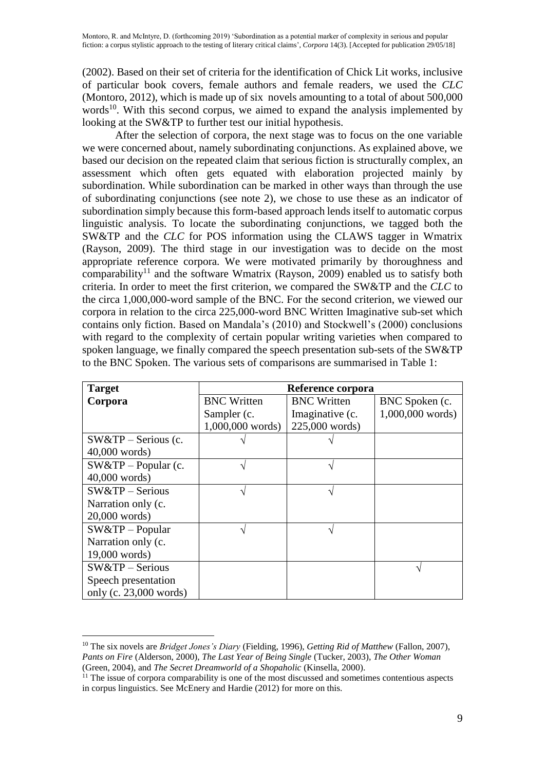(2002). Based on their set of criteria for the identification of Chick Lit works, inclusive of particular book covers, female authors and female readers, we used the *CLC* (Montoro, 2012), which is made up of six novels amounting to a total of about 500,000 words<sup>10</sup>. With this second corpus, we aimed to expand the analysis implemented by looking at the SW&TP to further test our initial hypothesis.

After the selection of corpora, the next stage was to focus on the one variable we were concerned about, namely subordinating conjunctions. As explained above, we based our decision on the repeated claim that serious fiction is structurally complex, an assessment which often gets equated with elaboration projected mainly by subordination. While subordination can be marked in other ways than through the use of subordinating conjunctions (see note 2), we chose to use these as an indicator of subordination simply because this form-based approach lends itself to automatic corpus linguistic analysis. To locate the subordinating conjunctions, we tagged both the SW&TP and the *CLC* for POS information using the CLAWS tagger in Wmatrix (Rayson, 2009). The third stage in our investigation was to decide on the most appropriate reference corpora. We were motivated primarily by thoroughness and comparability<sup>11</sup> and the software Wmatrix (Rayson, 2009) enabled us to satisfy both criteria. In order to meet the first criterion, we compared the SW&TP and the *CLC* to the circa 1,000,000-word sample of the BNC. For the second criterion, we viewed our corpora in relation to the circa 225,000-word BNC Written Imaginative sub-set which contains only fiction. Based on Mandala's (2010) and Stockwell's (2000) conclusions with regard to the complexity of certain popular writing varieties when compared to spoken language, we finally compared the speech presentation sub-sets of the SW&TP to the BNC Spoken. The various sets of comparisons are summarised in Table 1:

| <b>Target</b>            | Reference corpora  |                    |                    |  |  |
|--------------------------|--------------------|--------------------|--------------------|--|--|
| Corpora                  | <b>BNC</b> Written | <b>BNC</b> Written | BNC Spoken (c.     |  |  |
|                          | Sampler (c.        | Imaginative (c.    | $1,000,000$ words) |  |  |
|                          | $1,000,000$ words) | 225,000 words)     |                    |  |  |
| $SW&TP -$ Serious (c.    |                    |                    |                    |  |  |
| $40,000$ words)          |                    |                    |                    |  |  |
| $SW&TP-Popular$ (c.      |                    |                    |                    |  |  |
| $40,000$ words)          |                    |                    |                    |  |  |
| $SW&TP -$ Serious        |                    |                    |                    |  |  |
| Narration only (c.       |                    |                    |                    |  |  |
| $20,000$ words)          |                    |                    |                    |  |  |
| $SW&TP-Popular$          |                    |                    |                    |  |  |
| Narration only (c.       |                    |                    |                    |  |  |
| $19,000$ words)          |                    |                    |                    |  |  |
| $SW&TP -$ Serious        |                    |                    |                    |  |  |
| Speech presentation      |                    |                    |                    |  |  |
| only (c. $23,000$ words) |                    |                    |                    |  |  |

 $\overline{a}$ 

<sup>10</sup> The six novels are *Bridget Jones's Diary* (Fielding, 1996), *Getting Rid of Matthew* (Fallon, 2007), *Pants on Fire* (Alderson, 2000), *The Last Year of Being Single* (Tucker, 2003), *The Other Woman* (Green, 2004), and *The Secret Dreamworld of a Shopaholic* (Kinsella, 2000).

 $11$  The issue of corpora comparability is one of the most discussed and sometimes contentious aspects in corpus linguistics. See McEnery and Hardie (2012) for more on this.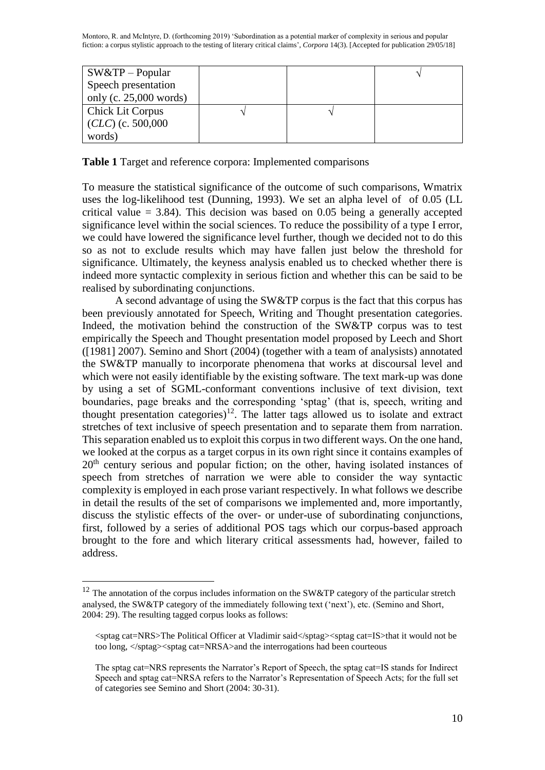| $S W & TP - Popular$     |  |  |
|--------------------------|--|--|
| Speech presentation      |  |  |
| only (c. $25,000$ words) |  |  |
| <b>Chick Lit Corpus</b>  |  |  |
| $(CLC)$ (c. 500,000      |  |  |
| words)                   |  |  |

**Table 1** Target and reference corpora: Implemented comparisons

To measure the statistical significance of the outcome of such comparisons, Wmatrix uses the log-likelihood test (Dunning, 1993). We set an alpha level of of 0.05 (LL critical value  $= 3.84$ ). This decision was based on 0.05 being a generally accepted significance level within the social sciences. To reduce the possibility of a type I error, we could have lowered the significance level further, though we decided not to do this so as not to exclude results which may have fallen just below the threshold for significance. Ultimately, the keyness analysis enabled us to checked whether there is indeed more syntactic complexity in serious fiction and whether this can be said to be realised by subordinating conjunctions.

A second advantage of using the SW&TP corpus is the fact that this corpus has been previously annotated for Speech, Writing and Thought presentation categories. Indeed, the motivation behind the construction of the SW&TP corpus was to test empirically the Speech and Thought presentation model proposed by Leech and Short ([1981] 2007). Semino and Short (2004) (together with a team of analysists) annotated the SW&TP manually to incorporate phenomena that works at discoursal level and which were not easily identifiable by the existing software. The text mark-up was done by using a set of SGML-conformant conventions inclusive of text division, text boundaries, page breaks and the corresponding 'sptag' (that is, speech, writing and thought presentation categories)<sup>12</sup>. The latter tags allowed us to isolate and extract stretches of text inclusive of speech presentation and to separate them from narration. This separation enabled us to exploit this corpus in two different ways. On the one hand, we looked at the corpus as a target corpus in its own right since it contains examples of  $20<sup>th</sup>$  century serious and popular fiction; on the other, having isolated instances of speech from stretches of narration we were able to consider the way syntactic complexity is employed in each prose variant respectively. In what follows we describe in detail the results of the set of comparisons we implemented and, more importantly, discuss the stylistic effects of the over- or under-use of subordinating conjunctions, first, followed by a series of additional POS tags which our corpus-based approach brought to the fore and which literary critical assessments had, however, failed to address.

 $\overline{a}$ 

 $12$  The annotation of the corpus includes information on the SW&TP category of the particular stretch analysed, the SW&TP category of the immediately following text ('next'), etc. (Semino and Short, 2004: 29). The resulting tagged corpus looks as follows:

<sup>&</sup>lt;sptag cat=NRS>The Political Officer at Vladimir said</sptag><sptag cat=IS>that it would not be too long,  $\langle$ sptag> $\langle$ sptag cat=NRSA>and the interrogations had been courteous

The sptag cat=NRS represents the Narrator's Report of Speech, the sptag cat=IS stands for Indirect Speech and sptag cat=NRSA refers to the Narrator's Representation of Speech Acts; for the full set of categories see Semino and Short (2004: 30-31).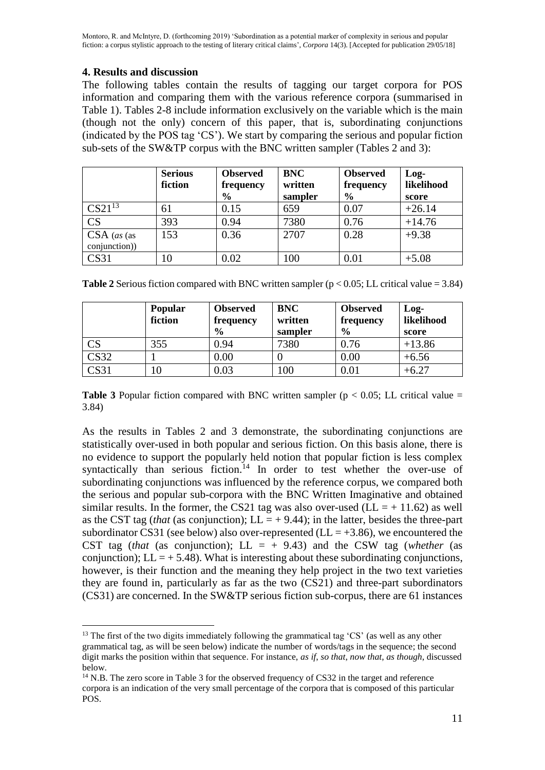# **4. Results and discussion**

 $\overline{a}$ 

The following tables contain the results of tagging our target corpora for POS information and comparing them with the various reference corpora (summarised in Table 1). Tables 2-8 include information exclusively on the variable which is the main (though not the only) concern of this paper, that is, subordinating conjunctions (indicated by the POS tag 'CS'). We start by comparing the serious and popular fiction sub-sets of the SW&TP corpus with the BNC written sampler (Tables 2 and 3):

|                                | <b>Serious</b><br>fiction | <b>Observed</b><br>frequency<br>$\frac{0}{0}$ | <b>BNC</b><br>written<br>sampler | <b>Observed</b><br>frequency<br>$\frac{6}{6}$ | $Log-$<br>likelihood<br>score |
|--------------------------------|---------------------------|-----------------------------------------------|----------------------------------|-----------------------------------------------|-------------------------------|
| $CS21^{13}$                    | 61                        | 0.15                                          | 659                              | 0.07                                          | $+26.14$                      |
| $\overline{\text{CS}}$         | 393                       | 0.94                                          | 7380                             | 0.76                                          | $+14.76$                      |
| $CSA$ (as (as<br>conjunction)) | 153                       | 0.36                                          | 2707                             | 0.28                                          | $+9.38$                       |
| CS31                           | 10                        | 0.02                                          | 100                              | 0.01                                          | $+5.08$                       |

|                        | <b>Popular</b><br>fiction | <b>Observed</b><br>frequency<br>$\frac{0}{0}$ | <b>BNC</b><br>written<br>sampler | <b>Observed</b><br>frequency<br>$\frac{0}{0}$ | $Log-$<br>likelihood<br>score |
|------------------------|---------------------------|-----------------------------------------------|----------------------------------|-----------------------------------------------|-------------------------------|
| $\overline{\text{CS}}$ | 355                       | 0.94                                          | 7380                             | 0.76                                          | $+13.86$                      |
| CS32                   |                           | 0.00                                          |                                  | 0.00                                          | $+6.56$                       |
| CS31                   | 10                        | 0.03                                          | 100                              | 0.01                                          | $+6.27$                       |

**Table 3** Popular fiction compared with BNC written sampler ( $p < 0.05$ ; LL critical value = 3.84)

As the results in Tables 2 and 3 demonstrate, the subordinating conjunctions are statistically over-used in both popular and serious fiction. On this basis alone, there is no evidence to support the popularly held notion that popular fiction is less complex syntactically than serious fiction.<sup>14</sup> In order to test whether the over-use of subordinating conjunctions was influenced by the reference corpus, we compared both the serious and popular sub-corpora with the BNC Written Imaginative and obtained similar results. In the former, the CS21 tag was also over-used ( $LL = +11.62$ ) as well as the CST tag (*that* (as conjunction);  $LL = +9.44$ ); in the latter, besides the three-part subordinator CS31 (see below) also over-represented ( $LL = +3.86$ ), we encountered the CST tag (*that* (as conjunction);  $LL = +9.43$ ) and the CSW tag (*whether* (as conjunction);  $LL = +5.48$ ). What is interesting about these subordinating conjunctions, however, is their function and the meaning they help project in the two text varieties they are found in, particularly as far as the two (CS21) and three-part subordinators (CS31) are concerned. In the SW&TP serious fiction sub-corpus, there are 61 instances

<sup>&</sup>lt;sup>13</sup> The first of the two digits immediately following the grammatical tag 'CS' (as well as any other grammatical tag, as will be seen below) indicate the number of words/tags in the sequence; the second digit marks the position within that sequence. For instance, *as if*, *so that*, *now that*, *as though*, discussed below.

<sup>&</sup>lt;sup>14</sup> N.B. The zero score in Table 3 for the observed frequency of CS32 in the target and reference corpora is an indication of the very small percentage of the corpora that is composed of this particular POS.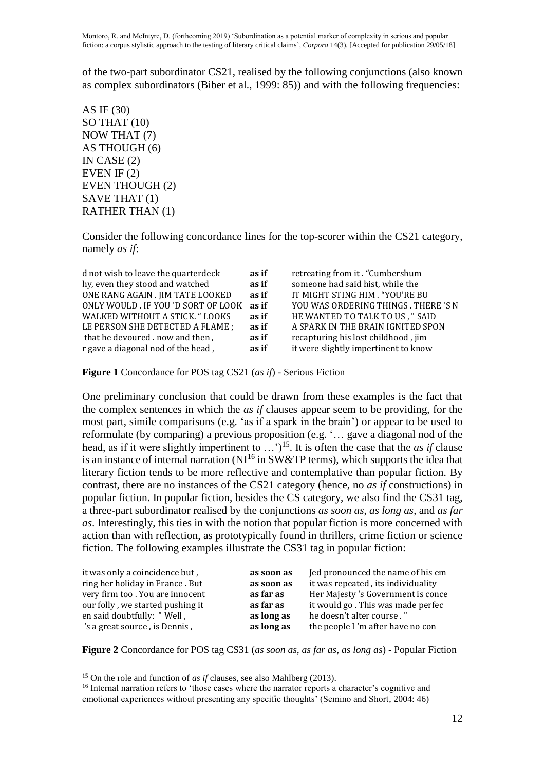of the two-part subordinator CS21, realised by the following conjunctions (also known as complex subordinators (Biber et al., 1999: 85)) and with the following frequencies:

AS IF (30) SO THAT (10) NOW THAT (7) AS THOUGH (6) IN CASE (2) EVEN IF (2) EVEN THOUGH (2) SAVE THAT (1) RATHER THAN (1)

Consider the following concordance lines for the top-scorer within the CS21 category, namely *as if*:

| d not wish to leave the quarterdeck | as if | retreating from it. "Cumbershum      |
|-------------------------------------|-------|--------------------------------------|
| hy, even they stood and watched     | as if | someone had said hist, while the     |
| ONE RANG AGAIN . JIM TATE LOOKED    | as if | IT MIGHT STING HIM . "YOU'RE BU      |
| ONLY WOULD . IF YOU 'D SORT OF LOOK | as if | YOU WAS ORDERING THINGS . THERE 'S N |
| WALKED WITHOUT A STICK. "LOOKS      | as if | HE WANTED TO TALK TO US, " SAID      |
| LE PERSON SHE DETECTED A FLAME ;    | as if | A SPARK IN THE BRAIN IGNITED SPON    |
| that he devoured . now and then,    | as if | recapturing his lost childhood, jim  |
| r gave a diagonal nod of the head,  | as if | it were slightly impertinent to know |

**Figure 1** Concordance for POS tag CS21 (*as if*) - Serious Fiction

One preliminary conclusion that could be drawn from these examples is the fact that the complex sentences in which the *as if* clauses appear seem to be providing, for the most part, simile comparisons (e.g. 'as if a spark in the brain') or appear to be used to reformulate (by comparing) a previous proposition (e.g. '… gave a diagonal nod of the head, as if it were slightly impertinent to ...<sup>\*</sup>)<sup>15</sup>. It is often the case that the *as if* clause is an instance of internal narration  $(NI<sup>16</sup>$  in SW&TP terms), which supports the idea that literary fiction tends to be more reflective and contemplative than popular fiction. By contrast, there are no instances of the CS21 category (hence, no *as if* constructions) in popular fiction. In popular fiction, besides the CS category, we also find the CS31 tag, a three-part subordinator realised by the conjunctions *as soon as*, *as long as*, and *as far as*. Interestingly, this ties in with the notion that popular fiction is more concerned with action than with reflection, as prototypically found in thrillers, crime fiction or science fiction. The following examples illustrate the CS31 tag in popular fiction:

| it was only a coincidence but,   | as soon as | Jed pronounced the name of his em  |
|----------------------------------|------------|------------------------------------|
| ring her holiday in France. But  | as soon as | it was repeated, its individuality |
| very firm too. You are innocent  | as far as  | Her Majesty 's Government is conce |
| our folly, we started pushing it | as far as  | it would go. This was made perfec  |
| en said doubtfully: "Well,       | as long as | he doesn't alter course."          |
| 's a great source, is Dennis,    | as long as | the people I 'm after have no con  |

**Figure 2** Concordance for POS tag CS31 (*as soon as*, *as far as*, *as long as*) - Popular Fiction

 $\overline{a}$ 

<sup>15</sup> On the role and function of *as if* clauses, see also Mahlberg (2013).

<sup>&</sup>lt;sup>16</sup> Internal narration refers to 'those cases where the narrator reports a character's cognitive and emotional experiences without presenting any specific thoughts' (Semino and Short, 2004: 46)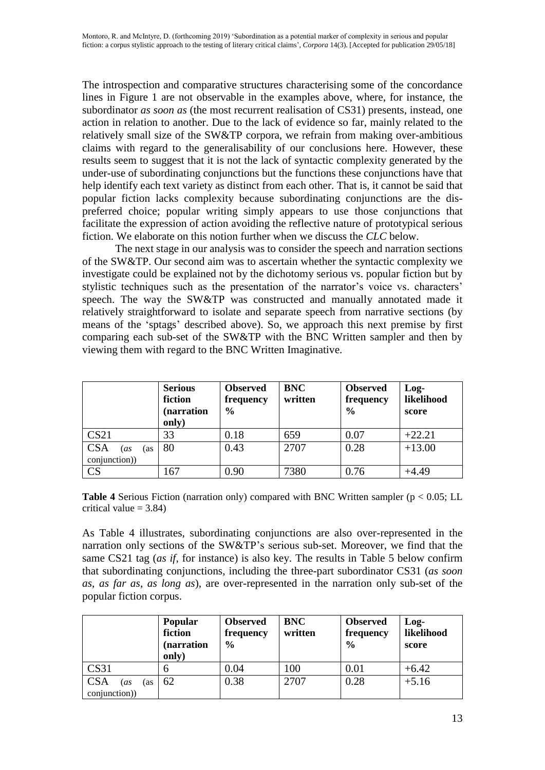The introspection and comparative structures characterising some of the concordance lines in Figure 1 are not observable in the examples above, where, for instance, the subordinator *as soon as* (the most recurrent realisation of CS31) presents, instead, one action in relation to another. Due to the lack of evidence so far, mainly related to the relatively small size of the SW&TP corpora, we refrain from making over-ambitious claims with regard to the generalisability of our conclusions here. However, these results seem to suggest that it is not the lack of syntactic complexity generated by the under-use of subordinating conjunctions but the functions these conjunctions have that help identify each text variety as distinct from each other. That is, it cannot be said that popular fiction lacks complexity because subordinating conjunctions are the dispreferred choice; popular writing simply appears to use those conjunctions that facilitate the expression of action avoiding the reflective nature of prototypical serious fiction. We elaborate on this notion further when we discuss the *CLC* below.

The next stage in our analysis was to consider the speech and narration sections of the SW&TP. Our second aim was to ascertain whether the syntactic complexity we investigate could be explained not by the dichotomy serious vs. popular fiction but by stylistic techniques such as the presentation of the narrator's voice vs. characters' speech. The way the SW&TP was constructed and manually annotated made it relatively straightforward to isolate and separate speech from narrative sections (by means of the 'sptags' described above). So, we approach this next premise by first comparing each sub-set of the SW&TP with the BNC Written sampler and then by viewing them with regard to the BNC Written Imaginative.

|                                           | <b>Serious</b><br>fiction<br>(narration<br>only) | <b>Observed</b><br>frequency<br>$\frac{0}{0}$ | <b>BNC</b><br>written | <b>Observed</b><br>frequency<br>$\frac{0}{0}$ | $Log-$<br>likelihood<br>score |
|-------------------------------------------|--------------------------------------------------|-----------------------------------------------|-----------------------|-----------------------------------------------|-------------------------------|
| CS21                                      | 33                                               | 0.18                                          | 659                   | 0.07                                          | $+22.21$                      |
| <b>CSA</b><br>(as<br>'as<br>conjunction)) | 80                                               | 0.43                                          | 2707                  | 0.28                                          | $+13.00$                      |
| $\overline{\text{CS}}$                    | 167                                              | 0.90                                          | 7380                  | 0.76                                          | $+4.49$                       |

**Table 4** Serious Fiction (narration only) compared with BNC Written sampler (p < 0.05; LL critical value  $= 3.84$ )

As Table 4 illustrates, subordinating conjunctions are also over-represented in the narration only sections of the SW&TP's serious sub-set. Moreover, we find that the same CS21 tag (*as if*, for instance) is also key. The results in Table 5 below confirm that subordinating conjunctions, including the three-part subordinator CS31 (*as soon as*, *as far as*, *as long as*), are over-represented in the narration only sub-set of the popular fiction corpus.

|                                          | <b>Popular</b><br>fiction<br>narration)<br>only) | <b>Observed</b><br>frequency<br>$\frac{0}{0}$ | <b>BNC</b><br>written | <b>Observed</b><br>frequency<br>$\frac{6}{9}$ | $Log-$<br>likelihood<br>score |
|------------------------------------------|--------------------------------------------------|-----------------------------------------------|-----------------------|-----------------------------------------------|-------------------------------|
| CS31                                     | b                                                | 0.04                                          | 100                   | 0.01                                          | $+6.42$                       |
| <b>CSA</b><br>(as<br>(as<br>conjunction) | 62                                               | 0.38                                          | 2707                  | 0.28                                          | $+5.16$                       |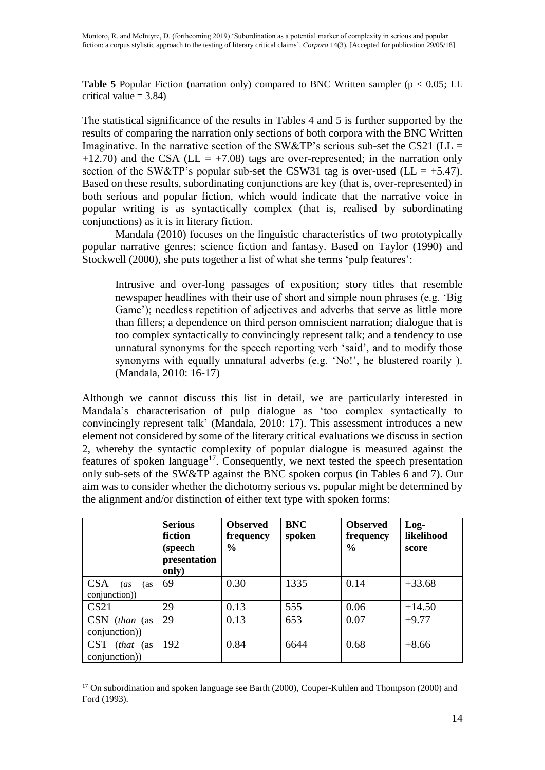**Table 5** Popular Fiction (narration only) compared to BNC Written sampler ( $p < 0.05$ ; LL critical value  $= 3.84$ )

The statistical significance of the results in Tables 4 and 5 is further supported by the results of comparing the narration only sections of both corpora with the BNC Written Imaginative. In the narrative section of the SW&TP's serious sub-set the CS21 ( $LL =$ +12.70) and the CSA (LL = +7.08) tags are over-represented; in the narration only section of the SW&TP's popular sub-set the CSW31 tag is over-used (LL =  $+5.47$ ). Based on these results, subordinating conjunctions are key (that is, over-represented) in both serious and popular fiction, which would indicate that the narrative voice in popular writing is as syntactically complex (that is, realised by subordinating conjunctions) as it is in literary fiction.

Mandala (2010) focuses on the linguistic characteristics of two prototypically popular narrative genres: science fiction and fantasy. Based on Taylor (1990) and Stockwell (2000), she puts together a list of what she terms 'pulp features':

Intrusive and over-long passages of exposition; story titles that resemble newspaper headlines with their use of short and simple noun phrases (e.g. 'Big Game'); needless repetition of adjectives and adverbs that serve as little more than fillers; a dependence on third person omniscient narration; dialogue that is too complex syntactically to convincingly represent talk; and a tendency to use unnatural synonyms for the speech reporting verb 'said', and to modify those synonyms with equally unnatural adverbs (e.g. 'No!', he blustered roarily ). (Mandala, 2010: 16-17)

Although we cannot discuss this list in detail, we are particularly interested in Mandala's characterisation of pulp dialogue as 'too complex syntactically to convincingly represent talk' (Mandala, 2010: 17). This assessment introduces a new element not considered by some of the literary critical evaluations we discuss in section 2, whereby the syntactic complexity of popular dialogue is measured against the features of spoken language<sup>17</sup>. Consequently, we next tested the speech presentation only sub-sets of the SW&TP against the BNC spoken corpus (in Tables 6 and 7). Our aim was to consider whether the dichotomy serious vs. popular might be determined by the alignment and/or distinction of either text type with spoken forms:

|                                                  | <b>Serious</b><br>fiction<br>(speech<br>presentation<br>only) | <b>Observed</b><br>frequency<br>$\frac{6}{9}$ | <b>BNC</b><br>spoken | <b>Observed</b><br>frequency<br>$\frac{0}{0}$ | Log-<br>likelihood<br>score |
|--------------------------------------------------|---------------------------------------------------------------|-----------------------------------------------|----------------------|-----------------------------------------------|-----------------------------|
| <b>CSA</b><br>(as<br>(as<br>conjunction))        | 69                                                            | 0.30                                          | 1335                 | 0.14                                          | $+33.68$                    |
| CS <sub>21</sub>                                 | 29                                                            | 0.13                                          | 555                  | 0.06                                          | $+14.50$                    |
| CSN (than (as<br>conjunction))                   | 29                                                            | 0.13                                          | 653                  | 0.07                                          | $+9.77$                     |
| <b>CST</b><br>( <i>that</i> (as<br>conjunction)) | 192                                                           | 0.84                                          | 6644                 | 0.68                                          | $+8.66$                     |

 $\overline{a}$  $17$  On subordination and spoken language see Barth (2000), Couper-Kuhlen and Thompson (2000) and Ford (1993).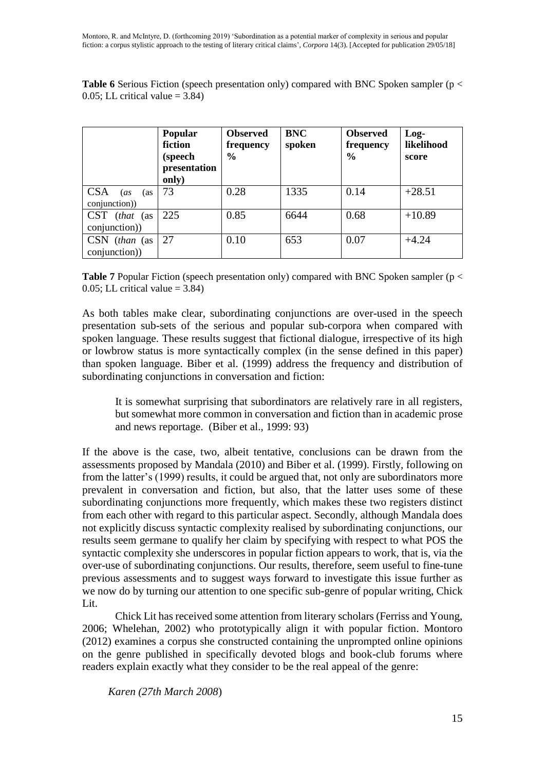**Table 6** Serious Fiction (speech presentation only) compared with BNC Spoken sampler (p <  $0.05$ ; LL critical value = 3.84)

|                                           | Popular<br>fiction<br>(speech<br>presentation<br>only) | <b>Observed</b><br>frequency<br>$\frac{0}{0}$ | <b>BNC</b><br>spoken | <b>Observed</b><br>frequency<br>$\frac{6}{9}$ | $Log-$<br>likelihood<br>score |
|-------------------------------------------|--------------------------------------------------------|-----------------------------------------------|----------------------|-----------------------------------------------|-------------------------------|
| <b>CSA</b><br>(as<br>(as<br>conjunction)) | 73                                                     | 0.28                                          | 1335                 | 0.14                                          | $+28.51$                      |
| CST (that (as<br>conjunction))            | 225                                                    | 0.85                                          | 6644                 | 0.68                                          | $+10.89$                      |
| $CSN$ (than (as<br>conjunction))          | 27                                                     | 0.10                                          | 653                  | 0.07                                          | $+4.24$                       |

**Table 7** Popular Fiction (speech presentation only) compared with BNC Spoken sampler (p < 0.05; LL critical value  $= 3.84$ )

As both tables make clear, subordinating conjunctions are over-used in the speech presentation sub-sets of the serious and popular sub-corpora when compared with spoken language. These results suggest that fictional dialogue, irrespective of its high or lowbrow status is more syntactically complex (in the sense defined in this paper) than spoken language. Biber et al. (1999) address the frequency and distribution of subordinating conjunctions in conversation and fiction:

It is somewhat surprising that subordinators are relatively rare in all registers, but somewhat more common in conversation and fiction than in academic prose and news reportage. (Biber et al., 1999: 93)

If the above is the case, two, albeit tentative, conclusions can be drawn from the assessments proposed by Mandala (2010) and Biber et al. (1999). Firstly, following on from the latter's (1999) results, it could be argued that, not only are subordinators more prevalent in conversation and fiction, but also, that the latter uses some of these subordinating conjunctions more frequently, which makes these two registers distinct from each other with regard to this particular aspect. Secondly, although Mandala does not explicitly discuss syntactic complexity realised by subordinating conjunctions, our results seem germane to qualify her claim by specifying with respect to what POS the syntactic complexity she underscores in popular fiction appears to work, that is, via the over-use of subordinating conjunctions. Our results, therefore, seem useful to fine-tune previous assessments and to suggest ways forward to investigate this issue further as we now do by turning our attention to one specific sub-genre of popular writing, Chick Lit.

Chick Lit has received some attention from literary scholars (Ferriss and Young, 2006; Whelehan, 2002) who prototypically align it with popular fiction. Montoro (2012) examines a corpus she constructed containing the unprompted online opinions on the genre published in specifically devoted blogs and book-club forums where readers explain exactly what they consider to be the real appeal of the genre:

*Karen (27th March 2008*)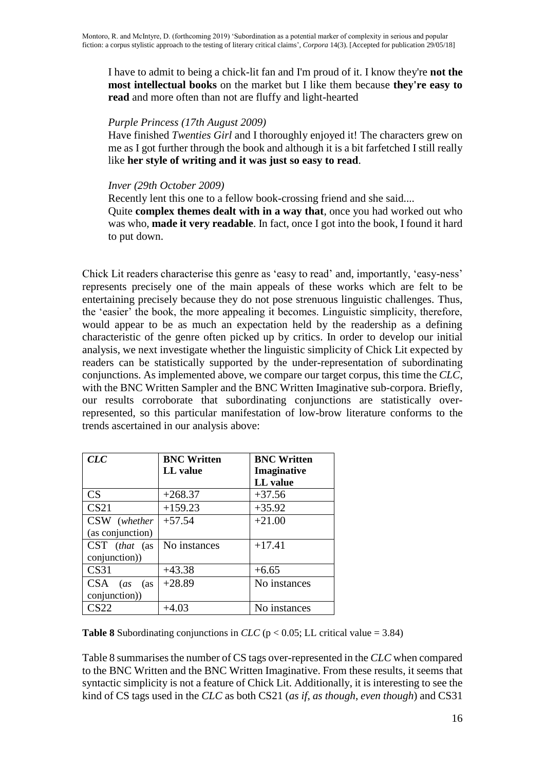I have to admit to being a chick-lit fan and I'm proud of it. I know they're **not the most intellectual books** on the market but I like them because **they're easy to read** and more often than not are fluffy and light-hearted

## *Purple Princess (17th August 2009)*

Have finished *Twenties Girl* and I thoroughly enjoyed it! The characters grew on me as I got further through the book and although it is a bit farfetched I still really like **her style of writing and it was just so easy to read**.

### *Inver (29th October 2009)*

Recently lent this one to a fellow book-crossing friend and she said.... Quite **complex themes dealt with in a way that**, once you had worked out who was who, **made it very readable**. In fact, once I got into the book, I found it hard to put down.

Chick Lit readers characterise this genre as 'easy to read' and, importantly, 'easy-ness' represents precisely one of the main appeals of these works which are felt to be entertaining precisely because they do not pose strenuous linguistic challenges. Thus, the 'easier' the book, the more appealing it becomes. Linguistic simplicity, therefore, would appear to be as much an expectation held by the readership as a defining characteristic of the genre often picked up by critics. In order to develop our initial analysis, we next investigate whether the linguistic simplicity of Chick Lit expected by readers can be statistically supported by the under-representation of subordinating conjunctions. As implemented above, we compare our target corpus, this time the *CLC*, with the BNC Written Sampler and the BNC Written Imaginative sub-corpora. Briefly, our results corroborate that subordinating conjunctions are statistically overrepresented, so this particular manifestation of low-brow literature conforms to the trends ascertained in our analysis above:

| CLC                      | <b>BNC Written</b> | <b>BNC Written</b> |
|--------------------------|--------------------|--------------------|
|                          | LL value           | Imaginative        |
|                          |                    | LL value           |
| CS                       | $+268.37$          | $+37.56$           |
| CS <sub>21</sub>         | $+159.23$          | $+35.92$           |
| CSW (whether             | $+57.54$           | $+21.00$           |
| (as conjunction)         |                    |                    |
| CST (that (as            | No instances       | $+17.41$           |
| conjunction))            |                    |                    |
| CS31                     | $+43.38$           | $+6.65$            |
| <b>CSA</b><br>(as<br>(as | $+28.89$           | No instances       |
| conjunction))            |                    |                    |
| CS22                     | $+4.03$            | No instances       |

**Table 8** Subordinating conjunctions in *CLC* ( $p < 0.05$ ; LL critical value = 3.84)

Table 8 summarises the number of CS tags over-represented in the *CLC* when compared to the BNC Written and the BNC Written Imaginative. From these results, it seems that syntactic simplicity is not a feature of Chick Lit. Additionally, it is interesting to see the kind of CS tags used in the *CLC* as both CS21 (*as if*, *as though*, *even though*) and CS31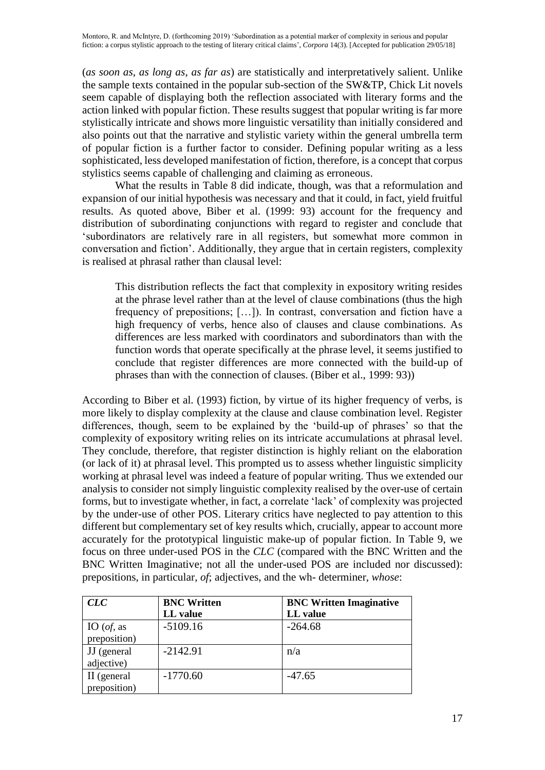(*as soon as*, *as long as*, *as far as*) are statistically and interpretatively salient. Unlike the sample texts contained in the popular sub-section of the SW&TP, Chick Lit novels seem capable of displaying both the reflection associated with literary forms and the action linked with popular fiction. These results suggest that popular writing is far more stylistically intricate and shows more linguistic versatility than initially considered and also points out that the narrative and stylistic variety within the general umbrella term of popular fiction is a further factor to consider. Defining popular writing as a less sophisticated, less developed manifestation of fiction, therefore, is a concept that corpus stylistics seems capable of challenging and claiming as erroneous.

What the results in Table 8 did indicate, though, was that a reformulation and expansion of our initial hypothesis was necessary and that it could, in fact, yield fruitful results. As quoted above, Biber et al. (1999: 93) account for the frequency and distribution of subordinating conjunctions with regard to register and conclude that 'subordinators are relatively rare in all registers, but somewhat more common in conversation and fiction'. Additionally, they argue that in certain registers, complexity is realised at phrasal rather than clausal level:

This distribution reflects the fact that complexity in expository writing resides at the phrase level rather than at the level of clause combinations (thus the high frequency of prepositions; […]). In contrast, conversation and fiction have a high frequency of verbs, hence also of clauses and clause combinations. As differences are less marked with coordinators and subordinators than with the function words that operate specifically at the phrase level, it seems justified to conclude that register differences are more connected with the build-up of phrases than with the connection of clauses. (Biber et al., 1999: 93))

According to Biber et al. (1993) fiction, by virtue of its higher frequency of verbs, is more likely to display complexity at the clause and clause combination level. Register differences, though, seem to be explained by the 'build-up of phrases' so that the complexity of expository writing relies on its intricate accumulations at phrasal level. They conclude, therefore, that register distinction is highly reliant on the elaboration (or lack of it) at phrasal level. This prompted us to assess whether linguistic simplicity working at phrasal level was indeed a feature of popular writing. Thus we extended our analysis to consider not simply linguistic complexity realised by the over-use of certain forms, but to investigate whether, in fact, a correlate 'lack' of complexity was projected by the under-use of other POS. Literary critics have neglected to pay attention to this different but complementary set of key results which, crucially, appear to account more accurately for the prototypical linguistic make-up of popular fiction. In Table 9, we focus on three under-used POS in the *CLC* (compared with the BNC Written and the BNC Written Imaginative; not all the under-used POS are included nor discussed): prepositions, in particular, *of*; adjectives, and the wh- determiner, *whose*:

| CLC                 | <b>BNC Written</b> | <b>BNC Written Imaginative</b> |
|---------------------|--------------------|--------------------------------|
|                     | LL value           | LL value                       |
| IO ( <i>of</i> , as | $-5109.16$         | $-264.68$                      |
| preposition)        |                    |                                |
| JJ (general         | $-2142.91$         | n/a                            |
| adjective)          |                    |                                |
| II (general         | $-1770.60$         | $-47.65$                       |
| preposition)        |                    |                                |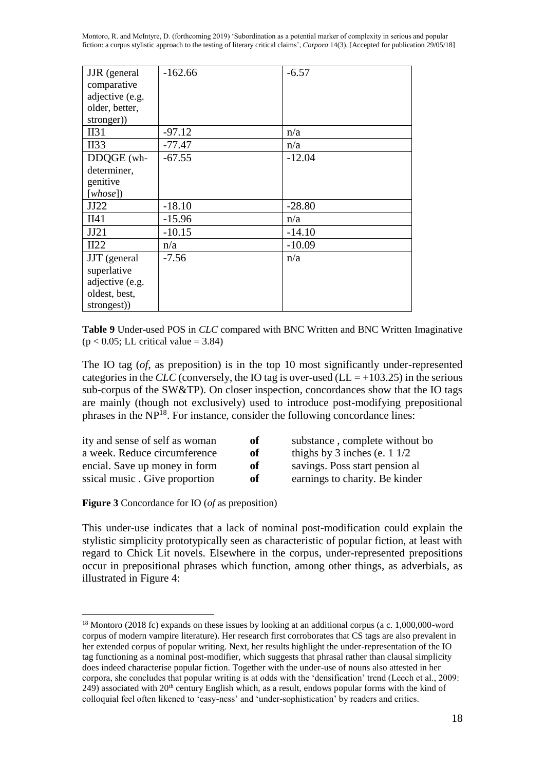Montoro, R. and McIntyre, D. (forthcoming 2019) 'Subordination as a potential marker of complexity in serious and popular fiction: a corpus stylistic approach to the testing of literary critical claims', *Corpora* 14(3). [Accepted for publication 29/05/18]

| <b>JJR</b> (general | $-162.66$ | $-6.57$  |
|---------------------|-----------|----------|
| comparative         |           |          |
| adjective (e.g.     |           |          |
| older, better,      |           |          |
| stronger))          |           |          |
| II31                | $-97.12$  | n/a      |
| II33                | $-77.47$  | n/a      |
| DDQGE (wh-          | $-67.55$  | $-12.04$ |
| determiner,         |           |          |
| genitive            |           |          |
| [whose]             |           |          |
| JJ22                | $-18.10$  | $-28.80$ |
| II41                | $-15.96$  | n/a      |
| JJ21                | $-10.15$  | $-14.10$ |
| II22                | n/a       | $-10.09$ |
| JJT (general        | $-7.56$   | n/a      |
| superlative         |           |          |
| adjective (e.g.     |           |          |
| oldest, best,       |           |          |
| strongest))         |           |          |

**Table 9** Under-used POS in *CLC* compared with BNC Written and BNC Written Imaginative  $(p < 0.05;$  LL critical value = 3.84)

The IO tag (*of*, as preposition) is in the top 10 most significantly under-represented categories in the *CLC* (conversely, the IO tag is over-used (LL =  $+103.25$ ) in the serious sub-corpus of the SW&TP). On closer inspection, concordances show that the IO tags are mainly (though not exclusively) used to introduce post-modifying prepositional phrases in the NP<sup>18</sup>. For instance, consider the following concordance lines:

| ity and sense of self as woman | of | substance, complete without bo         |
|--------------------------------|----|----------------------------------------|
| a week. Reduce circumference   | of | thighs by 3 inches (e. $1 \frac{1}{2}$ |
| encial. Save up money in form  | of | savings. Poss start pension al         |
| ssical music. Give proportion  | of | earnings to charity. Be kinder         |
|                                |    |                                        |

**Figure 3** Concordance for IO (*of* as preposition)

 $\overline{a}$ 

This under-use indicates that a lack of nominal post-modification could explain the stylistic simplicity prototypically seen as characteristic of popular fiction, at least with regard to Chick Lit novels. Elsewhere in the corpus, under-represented prepositions occur in prepositional phrases which function, among other things, as adverbials, as illustrated in Figure 4:

<sup>&</sup>lt;sup>18</sup> Montoro (2018 fc) expands on these issues by looking at an additional corpus (a c. 1,000,000-word corpus of modern vampire literature). Her research first corroborates that CS tags are also prevalent in her extended corpus of popular writing. Next, her results highlight the under-representation of the IO tag functioning as a nominal post-modifier, which suggests that phrasal rather than clausal simplicity does indeed characterise popular fiction. Together with the under-use of nouns also attested in her corpora, she concludes that popular writing is at odds with the 'densification' trend (Leech et al., 2009: 249) associated with  $20<sup>th</sup>$  century English which, as a result, endows popular forms with the kind of colloquial feel often likened to 'easy-ness' and 'under-sophistication' by readers and critics.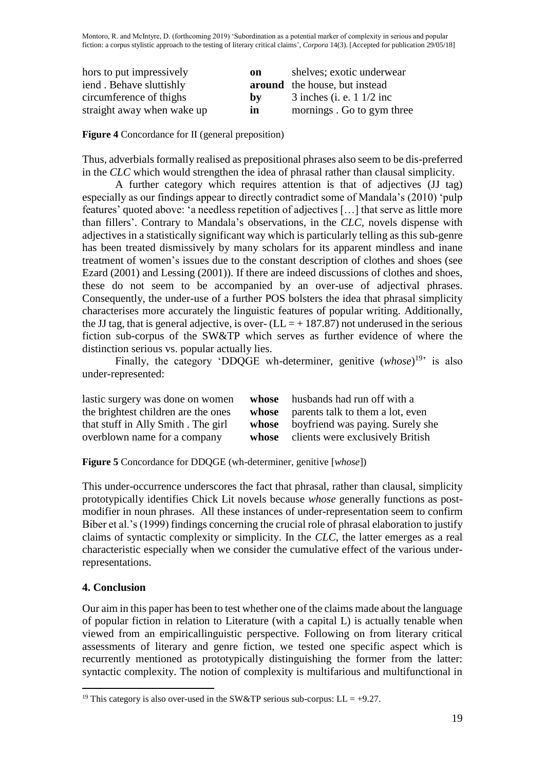| hors to put impressively   | on | shelves; exotic underwear            |
|----------------------------|----|--------------------------------------|
| iend. Behave sluttishly    |    | <b>around</b> the house, but instead |
| circumference of thighs    | by | $3$ inches (i. e. 1 $1/2$ inc        |
| straight away when wake up | m  | mornings. Go to gym three            |

**Figure 4** Concordance for II (general preposition)

Thus, adverbials formally realised as prepositional phrases also seem to be dis-preferred in the *CLC* which would strengthen the idea of phrasal rather than clausal simplicity.

A further category which requires attention is that of adjectives (JJ tag) especially as our findings appear to directly contradict some of Mandala's (2010) 'pulp features' quoted above: 'a needless repetition of adjectives […] that serve as little more than fillers'. Contrary to Mandala's observations, in the *CLC*, novels dispense with adjectives in a statistically significant way which is particularly telling as this sub-genre has been treated dismissively by many scholars for its apparent mindless and inane treatment of women's issues due to the constant description of clothes and shoes (see Ezard (2001) and Lessing (2001)). If there are indeed discussions of clothes and shoes, these do not seem to be accompanied by an over-use of adjectival phrases. Consequently, the under-use of a further POS bolsters the idea that phrasal simplicity characterises more accurately the linguistic features of popular writing. Additionally, the JJ tag, that is general adjective, is over-  $(LL = +187.87)$  not underused in the serious fiction sub-corpus of the SW&TP which serves as further evidence of where the distinction serious vs. popular actually lies.

Finally, the category 'DDQGE wh-determiner, genitive  $(whose)^{19}$  is also under-represented:

| lastic surgery was done on women    | whose | husbands had run off with a            |
|-------------------------------------|-------|----------------------------------------|
| the brightest children are the ones |       | whose parents talk to them a lot, even |
| that stuff in Ally Smith. The girl  | whose | boyfriend was paying. Surely she       |
| overblown name for a company        |       | whose clients were exclusively British |

**Figure 5** Concordance for DDQGE (wh-determiner, genitive [*whose*])

This under-occurrence underscores the fact that phrasal, rather than clausal, simplicity prototypically identifies Chick Lit novels because *whose* generally functions as postmodifier in noun phrases. All these instances of under-representation seem to confirm Biber et al.'s (1999) findings concerning the crucial role of phrasal elaboration to justify claims of syntactic complexity or simplicity. In the *CLC*, the latter emerges as a real characteristic especially when we consider the cumulative effect of the various underrepresentations.

# **4. Conclusion**

 $\overline{a}$ 

Our aim in this paper has been to test whether one of the claims made about the language of popular fiction in relation to Literature (with a capital L) is actually tenable when viewed from an empiricallinguistic perspective. Following on from literary critical assessments of literary and genre fiction, we tested one specific aspect which is recurrently mentioned as prototypically distinguishing the former from the latter: syntactic complexity. The notion of complexity is multifarious and multifunctional in

<sup>&</sup>lt;sup>19</sup> This category is also over-used in the SW&TP serious sub-corpus: LL =  $+9.27$ .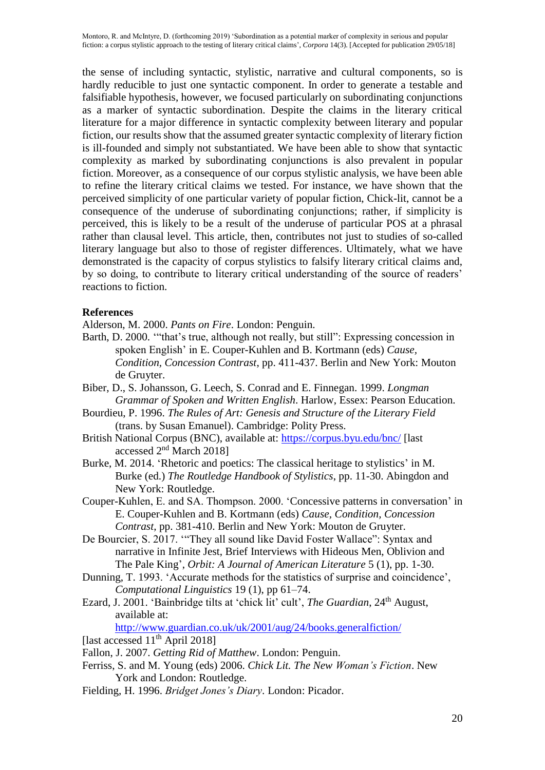the sense of including syntactic, stylistic, narrative and cultural components, so is hardly reducible to just one syntactic component. In order to generate a testable and falsifiable hypothesis, however, we focused particularly on subordinating conjunctions as a marker of syntactic subordination. Despite the claims in the literary critical literature for a major difference in syntactic complexity between literary and popular fiction, our results show that the assumed greater syntactic complexity of literary fiction is ill-founded and simply not substantiated. We have been able to show that syntactic complexity as marked by subordinating conjunctions is also prevalent in popular fiction. Moreover, as a consequence of our corpus stylistic analysis, we have been able to refine the literary critical claims we tested. For instance, we have shown that the perceived simplicity of one particular variety of popular fiction, Chick-lit, cannot be a consequence of the underuse of subordinating conjunctions; rather, if simplicity is perceived, this is likely to be a result of the underuse of particular POS at a phrasal rather than clausal level. This article, then, contributes not just to studies of so-called literary language but also to those of register differences. Ultimately, what we have demonstrated is the capacity of corpus stylistics to falsify literary critical claims and, by so doing, to contribute to literary critical understanding of the source of readers' reactions to fiction.

## **References**

Alderson, M. 2000. *Pants on Fire*. London: Penguin.

- Barth, D. 2000. '"that's true, although not really, but still": Expressing concession in spoken English' in E. Couper-Kuhlen and B. Kortmann (eds) *Cause, Condition, Concession Contrast*, pp. 411-437. Berlin and New York: Mouton de Gruyter.
- Biber, D., S. Johansson, G. Leech, S. Conrad and E. Finnegan. 1999. *Longman Grammar of Spoken and Written English*. Harlow, Essex: Pearson Education.
- Bourdieu, P. 1996. *The Rules of Art: Genesis and Structure of the Literary Field* (trans. by Susan Emanuel). Cambridge: Polity Press.
- British National Corpus (BNC), available at: https://corpus.byu.edu/bnc/ [last accessed 2<sup>nd</sup> March 2018]
- Burke, M. 2014. 'Rhetoric and poetics: The classical heritage to stylistics' in M. Burke (ed.) *The Routledge Handbook of Stylistics*, pp. 11-30. Abingdon and New York: Routledge.
- Couper-Kuhlen, E. and SA. Thompson. 2000. 'Concessive patterns in conversation' in E. Couper-Kuhlen and B. Kortmann (eds) *Cause, Condition, Concession Contrast*, pp. 381-410. Berlin and New York: Mouton de Gruyter.
- De Bourcier, S. 2017. '"They all sound like David Foster Wallace": Syntax and narrative in Infinite Jest, Brief Interviews with Hideous Men, Oblivion and The Pale King', *Orbit: A Journal of American Literature* 5 (1), pp. 1-30.
- Dunning, T. 1993. 'Accurate methods for the statistics of surprise and coincidence', *Computational Linguistics* 19 (1), pp 61–74.
- Ezard, J. 2001. 'Bainbridge tilts at 'chick lit' cult', *The Guardian*, 24<sup>th</sup> August, available at:

http://www.guardian.co.uk/uk/2001/aug/24/books.generalfiction/

- [last accessed 11<sup>th</sup> April 2018]
- Fallon, J. 2007. *Getting Rid of Matthew*. London: Penguin.
- Ferriss, S. and M. Young (eds) 2006. *Chick Lit. The New Woman's Fiction*. New York and London: Routledge.
- Fielding, H. 1996. *Bridget Jones's Diary*. London: Picador.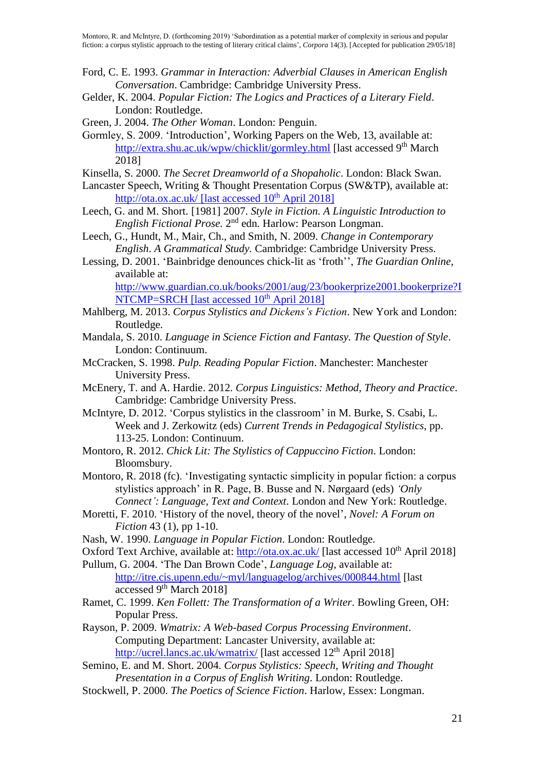- Ford, C. E. 1993. *Grammar in Interaction: Adverbial Clauses in American English Conversation*. Cambridge: Cambridge University Press.
- Gelder, K. 2004. *Popular Fiction: The Logics and Practices of a Literary Field*. London: Routledge.
- Green, J. 2004. *The Other Woman*. London: Penguin.
- Gormley, S. 2009. 'Introduction', Working Papers on the Web, 13, available at: http://extra.shu.ac.uk/wpw/chicklit/gormley.html [last accessed 9<sup>th</sup> March] 2018]
- Kinsella, S. 2000. *The Secret Dreamworld of a Shopaholic*. London: Black Swan.
- Lancaster Speech, Writing & Thought Presentation Corpus (SW&TP), available at: http://ota.ox.ac.uk/ [last accessed  $10^{th}$  April 2018]
- Leech, G. and M. Short. [1981] 2007. *Style in Fiction. A Linguistic Introduction to*  English Fictional Prose. 2<sup>nd</sup> edn. Harlow: Pearson Longman.
- Leech, G., Hundt, M., Mair, Ch., and Smith, N. 2009. *Change in Contemporary English*. *A Grammatical Study.* Cambridge: Cambridge University Press.
- Lessing, D. 2001. 'Bainbridge denounces chick-lit as 'froth'', *The Guardian Online*, available at:

http://www.guardian.co.uk/books/2001/aug/23/bookerprize2001.bookerprize?I NTCMP=SRCH [last accessed 10<sup>th</sup> April 2018]

- Mahlberg, M. 2013. *Corpus Stylistics and Dickens's Fiction*. New York and London: Routledge.
- Mandala, S. 2010. *Language in Science Fiction and Fantasy. The Question of Style*. London: Continuum.
- McCracken, S. 1998. *Pulp. Reading Popular Fiction*. Manchester: Manchester University Press.
- McEnery, T. and A. Hardie. 2012. *Corpus Linguistics: Method, Theory and Practice*. Cambridge: Cambridge University Press.
- McIntyre, D. 2012. 'Corpus stylistics in the classroom' in M. Burke, S. Csabi, L. Week and J. Zerkowitz (eds) *Current Trends in Pedagogical Stylistics*, pp. 113-25. London: Continuum.
- Montoro, R. 2012. *Chick Lit: The Stylistics of Cappuccino Fiction*. London: Bloomsbury.
- Montoro, R. 2018 (fc). 'Investigating syntactic simplicity in popular fiction: a corpus stylistics approach' in R. Page, B. Busse and N. Nørgaard (eds) *'Only Connect': Language, Text and Context*. London and New York: Routledge.
- Moretti, F. 2010. 'History of the novel, theory of the novel', *Novel: A Forum on Fiction* 43 (1), pp 1-10.
- Nash, W. 1990. *Language in Popular Fiction*. London: Routledge.
- Oxford Text Archive, available at: http://ota.ox.ac.uk/ [last accessed 10<sup>th</sup> April 2018]
- Pullum, G. 2004. 'The Dan Brown Code', *Language Log*, available at: http://itre.cis.upenn.edu/~myl/languagelog/archives/000844.html [last accessed 9<sup>th</sup> March 2018]
- Ramet, C. 1999. *Ken Follett: The Transformation of a Writer*. Bowling Green, OH: Popular Press.
- Rayson, P. 2009. *Wmatrix: A Web-based Corpus Processing Environment*. Computing Department: Lancaster University, available at: http://ucrel.lancs.ac.uk/wmatrix/ [last accessed 12<sup>th</sup> April 2018]
- Semino, E. and M. Short. 2004. *Corpus Stylistics: Speech, Writing and Thought Presentation in a Corpus of English Writing*. London: Routledge.
- Stockwell, P. 2000. *The Poetics of Science Fiction*. Harlow, Essex: Longman.